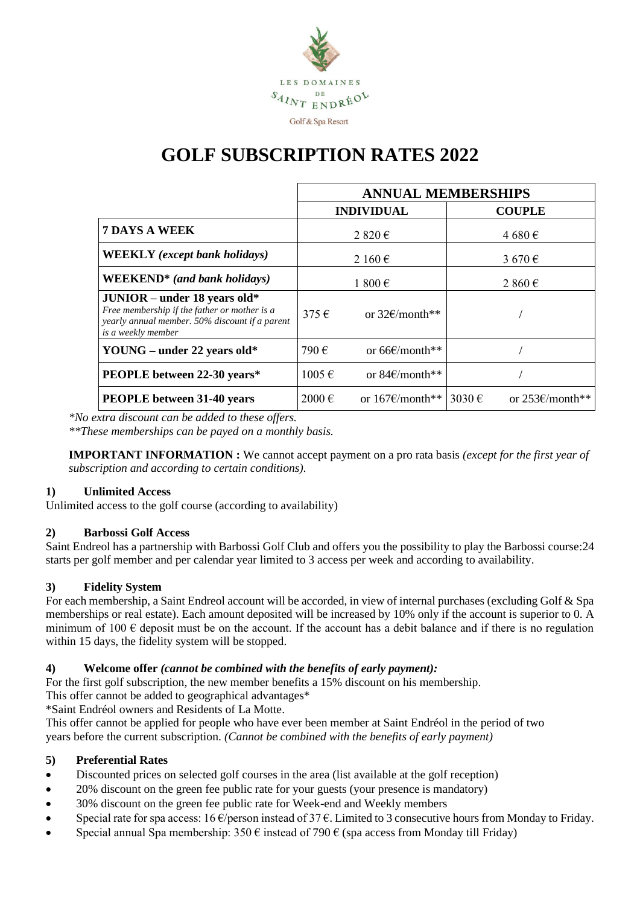

# **GOLF SUBSCRIPTION RATES 2022**

|                                                                                                                                                        | <b>ANNUAL MEMBERSHIPS</b> |                              |                  |                          |
|--------------------------------------------------------------------------------------------------------------------------------------------------------|---------------------------|------------------------------|------------------|--------------------------|
|                                                                                                                                                        |                           | <b>INDIVIDUAL</b>            |                  | <b>COUPLE</b>            |
| <b>7 DAYS A WEEK</b>                                                                                                                                   | $2820 \in$                |                              |                  | 4680€                    |
| <b>WEEKLY</b> (except bank holidays)                                                                                                                   | 2 160 $\epsilon$          |                              |                  | 3 670 $\in$              |
| <b>WEEKEND*</b> (and bank holidays)                                                                                                                    | 1 800 €                   |                              | 2 860 $\epsilon$ |                          |
| $JUNIOR$ – under 18 years old*<br>Free membership if the father or mother is a<br>yearly annual member. 50% discount if a parent<br>is a weekly member | $375 \in$                 | or $32f/mol$ **              |                  |                          |
| YOUNG – under 22 years old*                                                                                                                            | 790€                      | or $66\epsilon$ /month**     |                  |                          |
| <b>PEOPLE</b> between 22-30 years*                                                                                                                     | $1005 \in$                | or 84 $\varepsilon$ /month** |                  |                          |
| <b>PEOPLE</b> between 31-40 years                                                                                                                      | $2000 \in$                | or $167 \text{E/month**}$    | 3030 $\epsilon$  | or $253 \times$ /month** |

*\*No extra discount can be added to these offers. \*\*These memberships can be payed on a monthly basis.*

**IMPORTANT INFORMATION :** We cannot accept payment on a pro rata basis *(except for the first year of subscription and according to certain conditions).*

### **1) Unlimited Access**

Unlimited access to the golf course (according to availability)

#### **2) Barbossi Golf Access**

Saint Endreol has a partnership with Barbossi Golf Club and offers you the possibility to play the Barbossi course:24 starts per golf member and per calendar year limited to 3 access per week and according to availability.

#### **3) Fidelity System**

For each membership, a Saint Endreol account will be accorded, in view of internal purchases (excluding Golf & Spa memberships or real estate). Each amount deposited will be increased by 10% only if the account is superior to 0. A minimum of 100  $\epsilon$  deposit must be on the account. If the account has a debit balance and if there is no regulation within 15 days, the fidelity system will be stopped.

#### **4) Welcome offer** *(cannot be combined with the benefits of early payment):*

For the first golf subscription, the new member benefits a 15% discount on his membership.

This offer cannot be added to geographical advantages\*

\*Saint Endréol owners and Residents of La Motte.

This offer cannot be applied for people who have ever been member at Saint Endréol in the period of two years before the current subscription. *(Cannot be combined with the benefits of early payment)*

#### **5) Preferential Rates**

- Discounted prices on selected golf courses in the area (list available at the golf reception)
- 20% discount on the green fee public rate for your guests (your presence is mandatory)
- 30% discount on the green fee public rate for Week-end and Weekly members
- Special rate for spa access:  $16 \frac{\epsilon}{p}$  person instead of 37 $\epsilon$ . Limited to 3 consecutive hours from Monday to Friday.
- Special annual Spa membership:  $350 \text{ } \in \mathbb{R}$  instead of 790  $\in \mathbb{R}$  (spa access from Monday till Friday)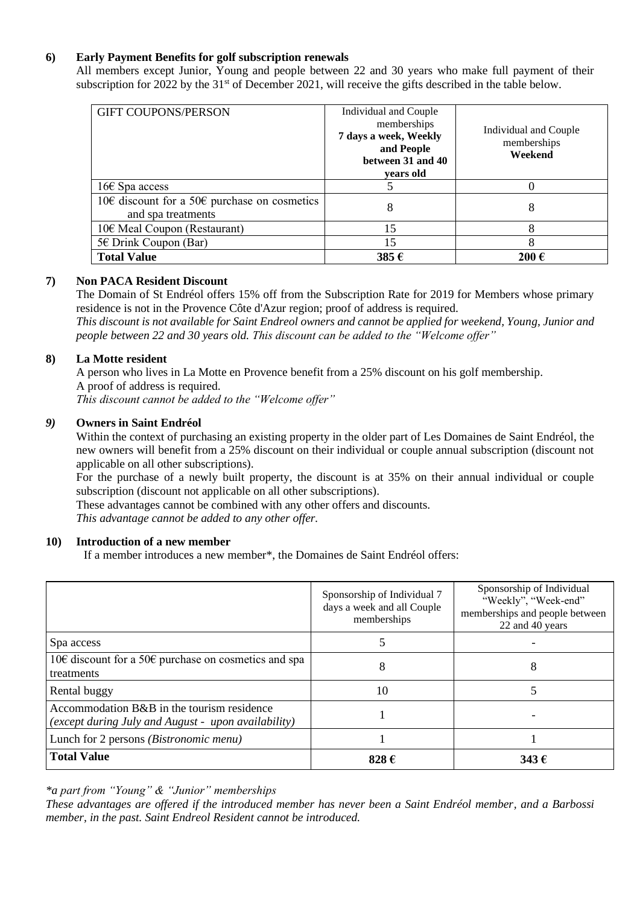#### **6) Early Payment Benefits for golf subscription renewals**

All members except Junior, Young and people between 22 and 30 years who make full payment of their subscription for 2022 by the 31<sup>st</sup> of December 2021, will receive the gifts described in the table below.

| <b>GIFT COUPONS/PERSON</b>                                         | Individual and Couple<br>memberships<br>7 days a week, Weekly<br>and People<br>between 31 and 40<br>vears old | Individual and Couple<br>memberships<br>Weekend |
|--------------------------------------------------------------------|---------------------------------------------------------------------------------------------------------------|-------------------------------------------------|
| $16 \epsilon$ Spa access                                           |                                                                                                               |                                                 |
| 10€ discount for a 50€ purchase on cosmetics<br>and spa treatments | 8                                                                                                             | 8                                               |
| 10€ Meal Coupon (Restaurant)                                       | 15                                                                                                            | 8                                               |
| 5€ Drink Coupon (Bar)                                              | 15                                                                                                            | 8                                               |
| <b>Total Value</b>                                                 | 385€                                                                                                          | 200€                                            |

#### **7) Non PACA Resident Discount**

The Domain of St Endréol offers 15% off from the Subscription Rate for 2019 for Members whose primary residence is not in the Provence Côte d'Azur region; proof of address is required.

*This discount is not available for Saint Endreol owners and cannot be applied for weekend, Young, Junior and people between 22 and 30 years old. This discount can be added to the "Welcome offer"*

#### **8) La Motte resident**

A person who lives in La Motte en Provence benefit from a 25% discount on his golf membership. A proof of address is required.

*This discount cannot be added to the "Welcome offer"* 

#### *9)* **Owners in Saint Endréol**

Within the context of purchasing an existing property in the older part of Les Domaines de Saint Endréol, the new owners will benefit from a 25% discount on their individual or couple annual subscription (discount not applicable on all other subscriptions).

For the purchase of a newly built property, the discount is at 35% on their annual individual or couple subscription (discount not applicable on all other subscriptions).

These advantages cannot be combined with any other offers and discounts.

*This advantage cannot be added to any other offer.* 

#### **10) Introduction of a new member**

If a member introduces a new member\*, the Domaines de Saint Endréol offers:

|                                                                                                   | Sponsorship of Individual 7<br>days a week and all Couple<br>memberships | Sponsorship of Individual<br>"Weekly", "Week-end"<br>memberships and people between<br>22 and 40 years |
|---------------------------------------------------------------------------------------------------|--------------------------------------------------------------------------|--------------------------------------------------------------------------------------------------------|
| Spa access                                                                                        |                                                                          |                                                                                                        |
| 10€ discount for a 50€ purchase on cosmetics and spa<br>treatments                                | 8                                                                        | 8                                                                                                      |
| Rental buggy                                                                                      | 10                                                                       |                                                                                                        |
| Accommodation B&B in the tourism residence<br>(except during July and August - upon availability) |                                                                          |                                                                                                        |
| Lunch for 2 persons <i>(Bistronomic menu)</i>                                                     |                                                                          |                                                                                                        |
| <b>Total Value</b>                                                                                | 828€                                                                     | 343 $\epsilon$                                                                                         |

*\*a part from "Young" & "Junior" memberships* 

*These advantages are offered if the introduced member has never been a Saint Endréol member, and a Barbossi member, in the past. Saint Endreol Resident cannot be introduced.*